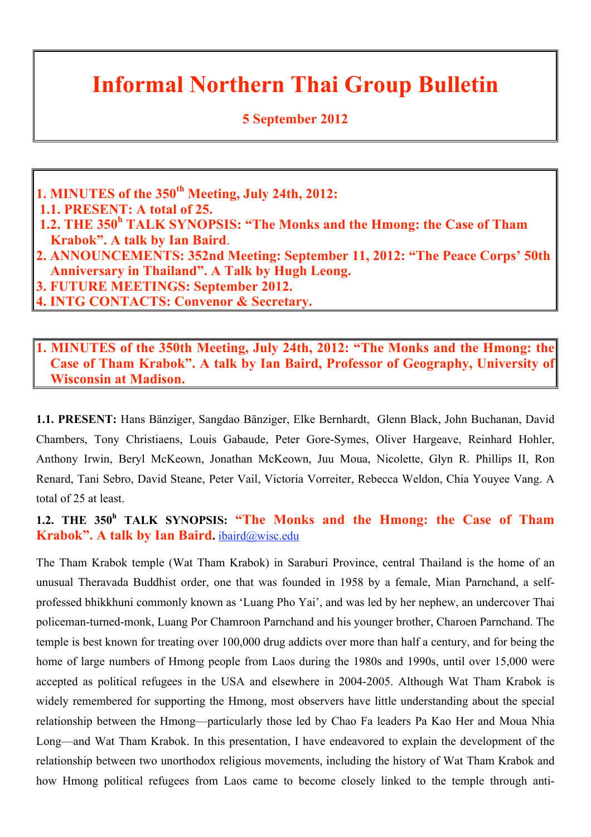### **Informal Northern Thai Group Bulletin**

#### **5 September 2012**

**1. MINUTES of the 350th Meeting, July 24th, 2012:**

 **1.1. PRESENT: A total of 25.**

 **1.2. THE 350<sup>h</sup> TALK SYNOPSIS: "The Monks and the Hmong: the Case of Tham Krabok". A talk by Ian Baird**.

**2. ANNOUNCEMENTS: 352nd Meeting: September 11, 2012: "The Peace Corps' 50th Anniversary in Thailand". A Talk by Hugh Leong.**

**3. FUTURE MEETINGS: September 2012.**

**4. INTG CONTACTS: Convenor & Secretary.**

**1. MINUTES of the 350th Meeting, July 24th, 2012: "The Monks and the Hmong: the Case of Tham Krabok". A talk by Ian Baird, Professor of Geography, University of Wisconsin at Madison.**

**1.1. PRESENT:** Hans Bänziger, Sangdao Bänziger, Elke Bernhardt, Glenn Black, John Buchanan, David Chambers, Tony Christiaens, Louis Gabaude, Peter Gore-Symes, Oliver Hargeave, Reinhard Hohler, Anthony Irwin, Beryl McKeown, Jonathan McKeown, Juu Moua, Nicolette, Glyn R. Phillips II, Ron Renard, Tani Sebro, David Steane, Peter Vail, Victoria Vorreiter, Rebecca Weldon, Chia Youyee Vang. A total of 25 at least.

1.2. THE 350<sup>h</sup> TALK SYNOPSIS: "The Monks and the Hmong: the Case of Tham **Krabok". A talk by Ian Baird.** ibaird@wisc.edu

The Tham Krabok temple (Wat Tham Krabok) in Saraburi Province, central Thailand is the home of an unusual Theravada Buddhist order, one that was founded in 1958 by a female, Mian Parnchand, a selfprofessed bhikkhuni commonly known as 'Luang Pho Yai', and was led by her nephew, an undercover Thai policeman-turned-monk, Luang Por Chamroon Parnchand and his younger brother, Charoen Parnchand. The temple is best known for treating over 100,000 drug addicts over more than half a century, and for being the home of large numbers of Hmong people from Laos during the 1980s and 1990s, until over 15,000 were accepted as political refugees in the USA and elsewhere in 2004-2005. Although Wat Tham Krabok is widely remembered for supporting the Hmong, most observers have little understanding about the special relationship between the Hmong—particularly those led by Chao Fa leaders Pa Kao Her and Moua Nhia Long—and Wat Tham Krabok. In this presentation, I have endeavored to explain the development of the relationship between two unorthodox religious movements, including the history of Wat Tham Krabok and how Hmong political refugees from Laos came to become closely linked to the temple through anti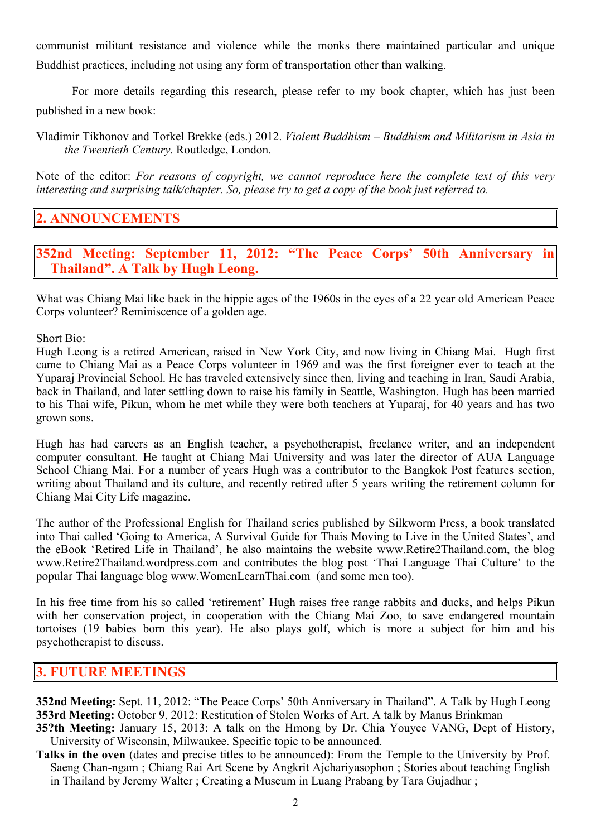communist militant resistance and violence while the monks there maintained particular and unique Buddhist practices, including not using any form of transportation other than walking.

For more details regarding this research, please refer to my book chapter, which has just been published in a new book:

Vladimir Tikhonov and Torkel Brekke (eds.) 2012. *Violent Buddhism – Buddhism and Militarism in Asia in the Twentieth Century*. Routledge, London.

Note of the editor: *For reasons of copyright, we cannot reproduce here the complete text of this very interesting and surprising talk/chapter. So, please try to get a copy of the book just referred to.*

#### **2. ANNOUNCEMENTS**

**352nd Meeting: September 11, 2012: "The Peace Corps' 50th Anniversary in Thailand". A Talk by Hugh Leong.**

What was Chiang Mai like back in the hippie ages of the 1960s in the eyes of a 22 year old American Peace Corps volunteer? Reminiscence of a golden age.

Short Bio:

Hugh Leong is a retired American, raised in New York City, and now living in Chiang Mai. Hugh first came to Chiang Mai as a Peace Corps volunteer in 1969 and was the first foreigner ever to teach at the Yuparaj Provincial School. He has traveled extensively since then, living and teaching in Iran, Saudi Arabia, back in Thailand, and later settling down to raise his family in Seattle, Washington. Hugh has been married to his Thai wife, Pikun, whom he met while they were both teachers at Yuparaj, for 40 years and has two grown sons.

Hugh has had careers as an English teacher, a psychotherapist, freelance writer, and an independent computer consultant. He taught at Chiang Mai University and was later the director of AUA Language School Chiang Mai. For a number of years Hugh was a contributor to the Bangkok Post features section, writing about Thailand and its culture, and recently retired after 5 years writing the retirement column for Chiang Mai City Life magazine.

The author of the Professional English for Thailand series published by Silkworm Press, a book translated into Thai called 'Going to America, A Survival Guide for Thais Moving to Live in the United States', and the eBook 'Retired Life in Thailand', he also maintains the website www.Retire2Thailand.com, the blog www.Retire2Thailand.wordpress.com and contributes the blog post 'Thai Language Thai Culture' to the popular Thai language blog www.WomenLearnThai.com (and some men too).

In his free time from his so called 'retirement' Hugh raises free range rabbits and ducks, and helps Pikun with her conservation project, in cooperation with the Chiang Mai Zoo, to save endangered mountain tortoises (19 babies born this year). He also plays golf, which is more a subject for him and his psychotherapist to discuss.

#### **3. FUTURE MEETINGS**

- **352nd Meeting:** Sept. 11, 2012: "The Peace Corps' 50th Anniversary in Thailand". A Talk by Hugh Leong **353rd Meeting:** October 9, 2012: Restitution of Stolen Works of Art. A talk by Manus Brinkman
- **35?th Meeting:** January 15, 2013: A talk on the Hmong by Dr. Chia Youyee VANG, Dept of History, University of Wisconsin, Milwaukee. Specific topic to be announced.
- **Talks in the oven** (dates and precise titles to be announced): From the Temple to the University by Prof. Saeng Chan-ngam ; Chiang Rai Art Scene by Angkrit Ajchariyasophon ; Stories about teaching English in Thailand by Jeremy Walter ; Creating a Museum in Luang Prabang by Tara Gujadhur ;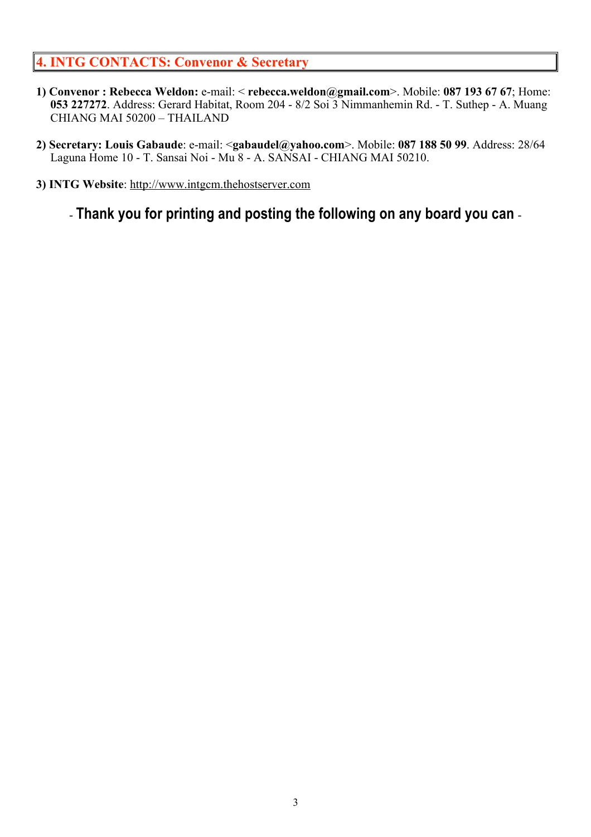#### **4. INTG CONTACTS: Convenor & Secretary**

- **1) Convenor : Rebecca Weldon:** e-mail: < **rebecca.weldon@gmail.com**>. Mobile: **087 193 67 67**; Home: **053 227272**. Address: Gerard Habitat, Room 204 - 8/2 Soi 3 Nimmanhemin Rd. - T. Suthep - A. Muang CHIANG MAI 50200 – THAILAND
- **2) Secretary: Louis Gabaude**: e-mail: <**gabaudel@yahoo.com**>. Mobile: **087 188 50 99**. Address: 28/64 Laguna Home 10 - T. Sansai Noi - Mu 8 - A. SANSAI - CHIANG MAI 50210.
- **3) INTG Website**: http://www.intgcm.thehostserver.com

- **Thank you for printing and posting the following on any board you can** -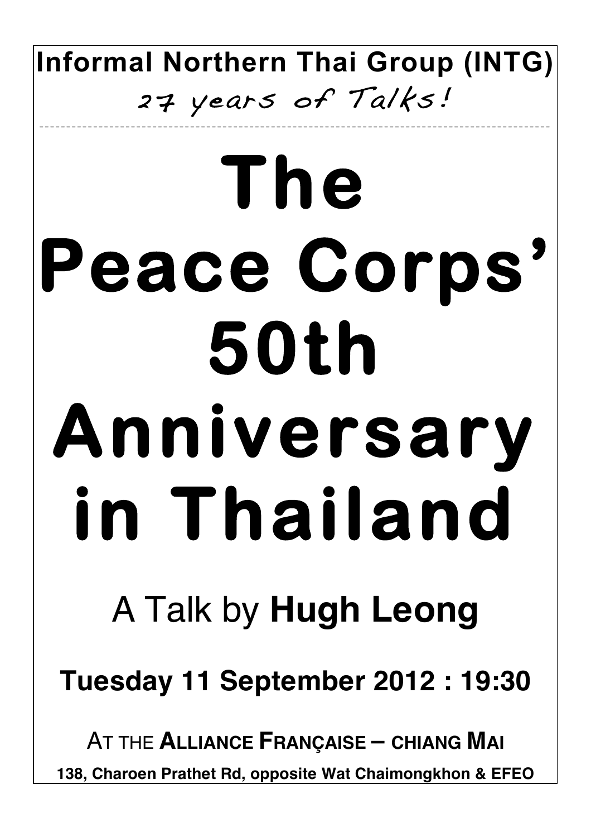**Informal Northern Thai Group (INTG)** 27 years of Talks!

\_\_\_\_\_\_\_\_\_\_\_\_\_\_\_\_\_\_\_\_\_\_\_\_\_\_\_\_\_\_\_\_\_\_\_\_\_\_\_\_\_\_\_\_\_\_\_\_\_\_\_\_\_\_\_\_\_\_\_\_\_\_ \_\_\_\_\_\_\_\_\_\_\_\_ \_\_\_\_\_\_\_\_\_\_\_\_\_\_\_\_\_\_\_\_\_

# **The Peace Corps' 50th Anniversary in Thailand**

## A Talk by **Hugh Leong**

**Tuesday 11 September 2012 : 19:30**

AT THE **ALLIANCE FRANÇAISE – CHIANG MAI**

**138, Charoen Prathet Rd, opposite Wat Chaimongkhon & EFEO**